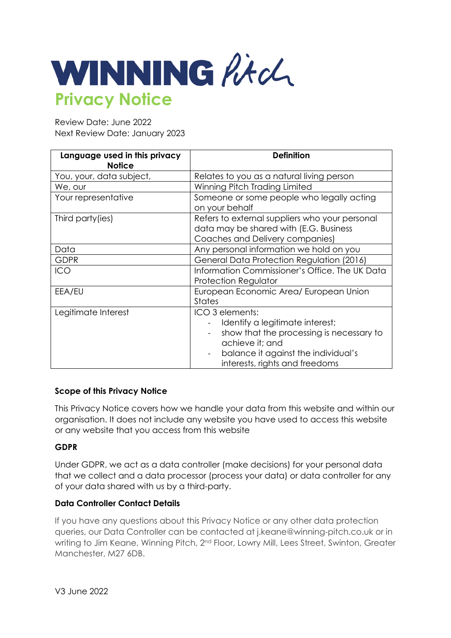

Review Date: June 2022 Next Review Date: January 2023

| Language used in this privacy<br><b>Notice</b> | <b>Definition</b>                                                                                                                                                                          |
|------------------------------------------------|--------------------------------------------------------------------------------------------------------------------------------------------------------------------------------------------|
| You, your, data subject,                       | Relates to you as a natural living person                                                                                                                                                  |
| We, our                                        | Winning Pitch Trading Limited                                                                                                                                                              |
| Your representative                            | Someone or some people who legally acting<br>on your behalf                                                                                                                                |
| Third party (ies)                              | Refers to external suppliers who your personal<br>data may be shared with (E.G. Business<br>Coaches and Delivery companies)                                                                |
| Data                                           | Any personal information we hold on you                                                                                                                                                    |
| <b>GDPR</b>                                    | General Data Protection Regulation (2016)                                                                                                                                                  |
| <b>ICO</b>                                     | Information Commissioner's Office. The UK Data<br><b>Protection Regulator</b>                                                                                                              |
| EEA/EU                                         | European Economic Area/ European Union<br><b>States</b>                                                                                                                                    |
| Legitimate Interest                            | ICO 3 elements:<br>Identify a legitimate interest;<br>show that the processing is necessary to<br>achieve it; and<br>balance it against the individual's<br>interests, rights and freedoms |

## **Scope of this Privacy Notice**

This Privacy Notice covers how we handle your data from this website and within our organisation. It does not include any website you have used to access this website or any website that you access from this website

#### **GDPR**

Under GDPR, we act as a data controller (make decisions) for your personal data that we collect and a data processor (process your data) or data controller for any of your data shared with us by a third-party.

#### **Data Controller Contact Details**

If you have any questions about this Privacy Notice or any other data protection queries, our Data Controller can be contacted at j.keane@winning-pitch.co.uk or in writing to Jim Keane, Winning Pitch, 2<sup>nd</sup> Floor, Lowry Mill, Lees Street, Swinton, Greater Manchester, M27 6DB.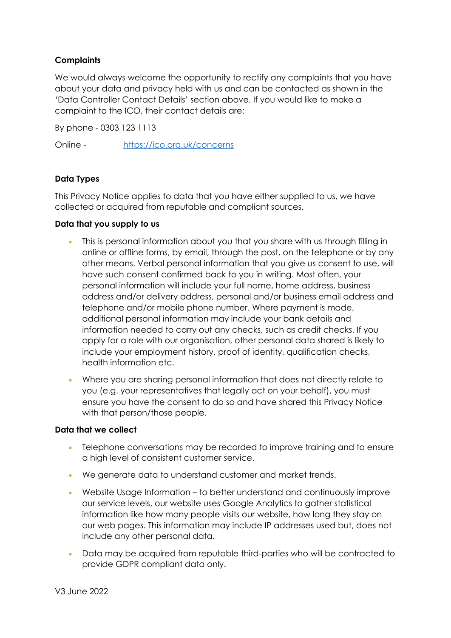# **Complaints**

We would always welcome the opportunity to rectify any complaints that you have about your data and privacy held with us and can be contacted as shown in the 'Data Controller Contact Details' section above. If you would like to make a complaint to the ICO, their contact details are:

By phone - 0303 123 1113

Online - https://ico.org.uk/concerns

## **Data Types**

This Privacy Notice applies to data that you have either supplied to us, we have collected or acquired from reputable and compliant sources.

#### **Data that you supply to us**

- This is personal information about you that you share with us through filling in online or offline forms, by email, through the post, on the telephone or by any other means. Verbal personal information that you give us consent to use, will have such consent confirmed back to you in writing. Most often, your personal information will include your full name, home address, business address and/or delivery address, personal and/or business email address and telephone and/or mobile phone number. Where payment is made, additional personal information may include your bank details and information needed to carry out any checks, such as credit checks. If you apply for a role with our organisation, other personal data shared is likely to include your employment history, proof of identity, qualification checks, health information etc.
- Where you are sharing personal information that does not directly relate to you (e.g. your representatives that legally act on your behalf), you must ensure you have the consent to do so and have shared this Privacy Notice with that person/those people.

#### **Data that we collect**

- Telephone conversations may be recorded to improve training and to ensure a high level of consistent customer service.
- We generate data to understand customer and market trends.
- Website Usage Information to better understand and continuously improve our service levels, our website uses Google Analytics to gather statistical information like how many people visits our website, how long they stay on our web pages. This information may include IP addresses used but, does not include any other personal data.
- Data may be acquired from reputable third-parties who will be contracted to provide GDPR compliant data only.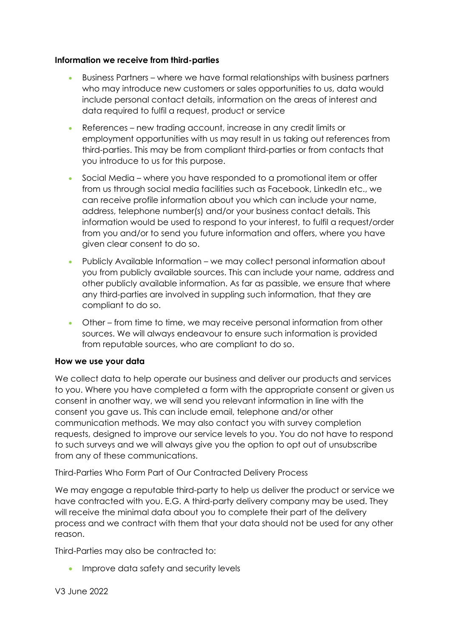#### **Information we receive from third-parties**

- Business Partners where we have formal relationships with business partners who may introduce new customers or sales opportunities to us, data would include personal contact details, information on the areas of interest and data required to fulfil a request, product or service
- References new trading account, increase in any credit limits or employment opportunities with us may result in us taking out references from third-parties. This may be from compliant third-parties or from contacts that you introduce to us for this purpose.
- Social Media where you have responded to a promotional item or offer from us through social media facilities such as Facebook, LinkedIn etc., we can receive profile information about you which can include your name, address, telephone number(s) and/or your business contact details. This information would be used to respond to your interest, to fulfil a request/order from you and/or to send you future information and offers, where you have given clear consent to do so.
- Publicly Available Information we may collect personal information about you from publicly available sources. This can include your name, address and other publicly available information. As far as passible, we ensure that where any third-parties are involved in suppling such information, that they are compliant to do so.
- Other from time to time, we may receive personal information from other sources. We will always endeavour to ensure such information is provided from reputable sources, who are compliant to do so.

## **How we use your data**

We collect data to help operate our business and deliver our products and services to you. Where you have completed a form with the appropriate consent or given us consent in another way, we will send you relevant information in line with the consent you gave us. This can include email, telephone and/or other communication methods. We may also contact you with survey completion requests, designed to improve our service levels to you. You do not have to respond to such surveys and we will always give you the option to opt out of unsubscribe from any of these communications.

Third-Parties Who Form Part of Our Contracted Delivery Process

We may engage a reputable third-party to help us deliver the product or service we have contracted with you. E.G. A third-party delivery company may be used. They will receive the minimal data about you to complete their part of the delivery process and we contract with them that your data should not be used for any other reason.

Third-Parties may also be contracted to:

• Improve data safety and security levels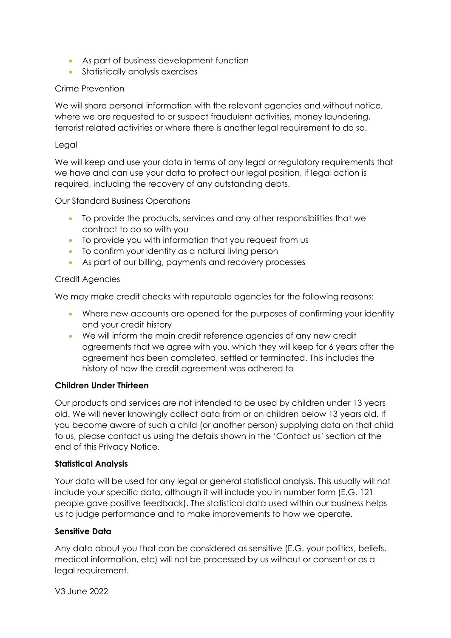- As part of business development function
- Statistically analysis exercises

## Crime Prevention

We will share personal information with the relevant agencies and without notice, where we are requested to or suspect fraudulent activities, money laundering, terrorist related activities or where there is another legal requirement to do so.

## Legal

We will keep and use your data in terms of any legal or regulatory requirements that we have and can use your data to protect our legal position, if legal action is required, including the recovery of any outstanding debts.

Our Standard Business Operations

- To provide the products, services and any other responsibilities that we contract to do so with you
- To provide you with information that you request from us
- To confirm your identity as a natural living person
- As part of our billing, payments and recovery processes

# Credit Agencies

We may make credit checks with reputable agencies for the following reasons:

- Where new accounts are opened for the purposes of confirming your identity and your credit history
- We will inform the main credit reference agencies of any new credit agreements that we agree with you, which they will keep for 6 years after the agreement has been completed, settled or terminated. This includes the history of how the credit agreement was adhered to

## **Children Under Thirteen**

Our products and services are not intended to be used by children under 13 years old. We will never knowingly collect data from or on children below 13 years old. If you become aware of such a child (or another person) supplying data on that child to us, please contact us using the details shown in the 'Contact us' section at the end of this Privacy Notice.

## **Statistical Analysis**

Your data will be used for any legal or general statistical analysis. This usually will not include your specific data, although it will include you in number form (E.G. 121 people gave positive feedback). The statistical data used within our business helps us to judge performance and to make improvements to how we operate.

## **Sensitive Data**

Any data about you that can be considered as sensitive (E.G. your politics, beliefs, medical information, etc) will not be processed by us without or consent or as a legal requirement.

V3 June 2022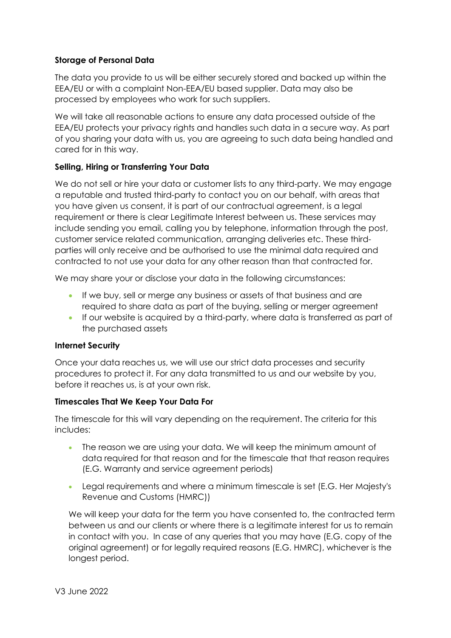# **Storage of Personal Data**

The data you provide to us will be either securely stored and backed up within the EEA/EU or with a complaint Non-EEA/EU based supplier. Data may also be processed by employees who work for such suppliers.

We will take all reasonable actions to ensure any data processed outside of the EEA/EU protects your privacy rights and handles such data in a secure way. As part of you sharing your data with us, you are agreeing to such data being handled and cared for in this way.

# **Selling, Hiring or Transferring Your Data**

We do not sell or hire your data or customer lists to any third-party. We may engage a reputable and trusted third-party to contact you on our behalf, with areas that you have given us consent, it is part of our contractual agreement, is a legal requirement or there is clear Legitimate Interest between us. These services may include sending you email, calling you by telephone, information through the post, customer service related communication, arranging deliveries etc. These thirdparties will only receive and be authorised to use the minimal data required and contracted to not use your data for any other reason than that contracted for.

We may share your or disclose your data in the following circumstances:

- If we buy, sell or merge any business or assets of that business and are required to share data as part of the buying, selling or merger agreement
- If our website is acquired by a third-party, where data is transferred as part of the purchased assets

## **Internet Security**

Once your data reaches us, we will use our strict data processes and security procedures to protect it. For any data transmitted to us and our website by you, before it reaches us, is at your own risk.

## **Timescales That We Keep Your Data For**

The timescale for this will vary depending on the requirement. The criteria for this includes:

- The reason we are using your data. We will keep the minimum amount of data required for that reason and for the timescale that that reason requires (E.G. Warranty and service agreement periods)
- Legal requirements and where a minimum timescale is set (E.G. Her Majesty's Revenue and Customs (HMRC))

We will keep your data for the term you have consented to, the contracted term between us and our clients or where there is a legitimate interest for us to remain in contact with you. In case of any queries that you may have (E.G. copy of the original agreement) or for legally required reasons (E.G. HMRC), whichever is the longest period.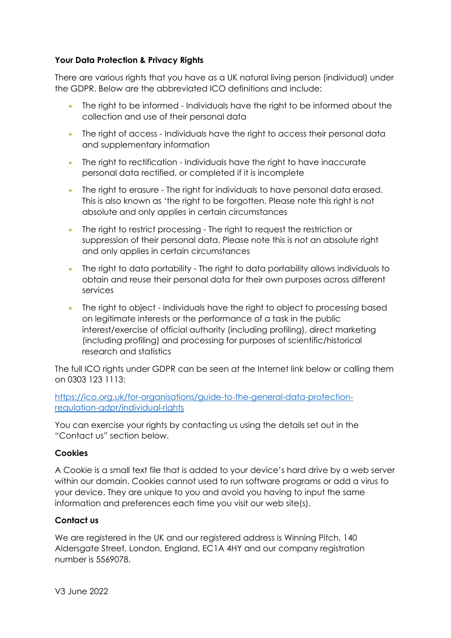## **Your Data Protection & Privacy Rights**

There are various rights that you have as a UK natural living person (individual) under the GDPR. Below are the abbreviated ICO definitions and include:

- The right to be informed Individuals have the right to be informed about the collection and use of their personal data
- The right of access Individuals have the right to access their personal data and supplementary information
- The right to rectification Individuals have the right to have inaccurate personal data rectified, or completed if it is incomplete
- The right to erasure The right for individuals to have personal data erased. This is also known as 'the right to be forgotten. Please note this right is not absolute and only applies in certain circumstances
- The right to restrict processing The right to request the restriction or suppression of their personal data. Please note this is not an absolute right and only applies in certain circumstances
- The right to data portability The right to data portability allows individuals to obtain and reuse their personal data for their own purposes across different services
- The right to object Individuals have the right to object to processing based on legitimate interests or the performance of a task in the public interest/exercise of official authority (including profiling), direct marketing (including profiling) and processing for purposes of scientific/historical research and statistics

The full ICO rights under GDPR can be seen at the Internet link below or calling them on 0303 123 1113:

https://ico.org.uk/for-organisations/guide-to-the-general-data-protectionregulation-gdpr/individual-rights

You can exercise your rights by contacting us using the details set out in the "Contact us" section below.

#### **Cookies**

A Cookie is a small text file that is added to your device's hard drive by a web server within our domain. Cookies cannot used to run software programs or add a virus to your device. They are unique to you and avoid you having to input the same information and preferences each time you visit our web site(s).

## **Contact us**

We are registered in the UK and our registered address is Winning Pitch, 140 Aldersgate Street, London, England, EC1A 4HY and our company registration number is 5569078.